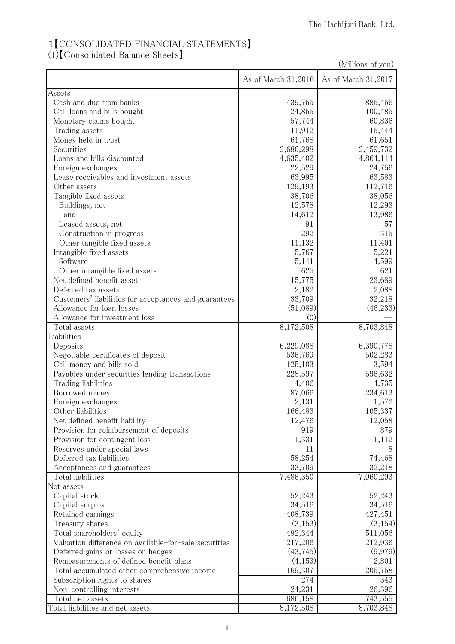## 1【CONSOLIDATED FINANCIAL STATEMENTS】 (1)【Consolidated Balance Sheets】

| (Millions of yen)                                     |                     |                     |
|-------------------------------------------------------|---------------------|---------------------|
|                                                       | As of March 31,2016 | As of March 31,2017 |
| Assets                                                |                     |                     |
| Cash and due from banks                               | 439,755             | 885,456             |
| Call loans and bills bought                           | 24,855              | 100,485             |
| Monetary claims bought                                | 57,744              | 60,836              |
| Trading assets                                        | 11,912              | 15,444              |
| Money held in trust                                   | 61,768              | 61,651              |
| Securities                                            | 2,680,298           | 2,459,732           |
| Loans and bills discounted                            | 4,635,402           | 4,864,144           |
| Foreign exchanges                                     | 22,529              | 24,756              |
| Lease receivables and investment assets               | 63,995              | 63,583              |
| Other assets                                          | 129,193             | 112,716             |
| Tangible fixed assets                                 | 38,706              | 38,056              |
| Buildings, net                                        | 12,578              | 12,293              |
| Land                                                  | 14,612              | 13,986              |
| Leased assets, net                                    | 91                  | 57                  |
| Construction in progress                              | 292                 | 315                 |
| Other tangible fixed assets                           | 11,132              | 11,401              |
| Intangible fixed assets                               | 5,767               | 5,221               |
| Software                                              | 5,141               | 4,599               |
| Other intangible fixed assets                         | 625                 | 621                 |
| Net defined benefit asset                             | 15,775              | 23,689              |
| Deferred tax assets                                   | 2,182               | 2,088               |
| Customers' liabilities for acceptances and guarantees | 33,709              | 32,218              |
| Allowance for loan losses                             | (51,089)            | (46, 233)           |
| Allowance for investment loss                         | (0)                 |                     |
| Total assets                                          | 8,172,508           | 8,703,848           |
| Liabilities                                           |                     |                     |
| Deposits                                              | 6,229,088           | 6,390,778           |
| Negotiable certificates of deposit                    | 536,769             | 502,283             |
| Call money and bills sold                             | 125,103             | 3,594               |
| Payables under securities lending transactions        | 228,597             | 596,632             |
| Trading liabilities                                   | 4,406               | 4,735               |
| Borrowed money                                        | 87,066              | 234,613             |
| Foreign exchanges                                     | 2,131               | 1,572               |
| Other liabilities                                     | 166,483             | 105,337             |
| Net defined benefit liability                         | 12,476              | 12,058              |
| Provision for reimbursement of deposits               | 919                 | 879                 |
| Provision for contingent loss                         | 1,331               | 1,112               |
| Reserves under special laws                           | 11                  | 8                   |
| Deferred tax liabilities                              | 58,254              | 74,468              |
| Acceptances and guarantees                            | 33,709              | 32,218              |
| Total liabilities                                     | 7,486,350           | 7,960,293           |
| Net assets                                            |                     |                     |
| Capital stock                                         | 52,243              | 52,243              |
| Capital surplus                                       | 34,516              | 34,516              |
| Retained earnings                                     | 408,739             | 427,451             |
| Treasury shares                                       | (3,153)             | (3,154)             |
| Total shareholders' equity                            | 492,344             | 511,056             |
| Valuation difference on available-for-sale securities | 217,206             | 212,936             |
|                                                       |                     |                     |
| Deferred gains or losses on hedges                    | (43, 745)           | (9,979)             |
| Remeasurements of defined benefit plans               | (4,153)             | 2,801               |
| Total accumulated other comprehensive income          | 169,307             | 205,758             |
| Subscription rights to shares                         | 274                 | 343                 |
| Non-controlling interests                             | 24,231              | 26,396              |
| Total net assets                                      | 686,158             | 743,555             |
| Total liabilities and net assets                      | 8,172,508           | 8,703,848           |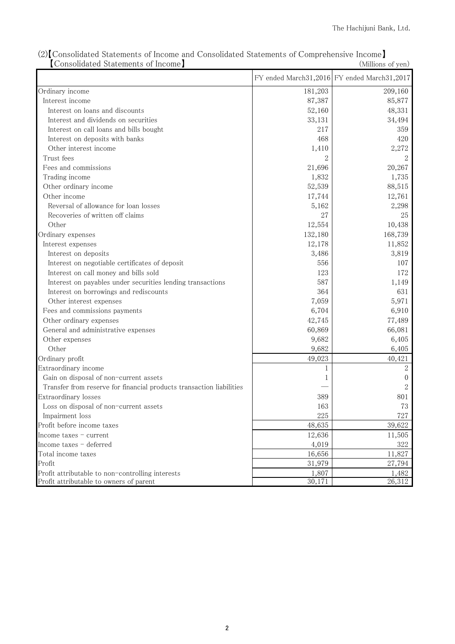| Consonuated pratements of income                                     |         | (MINIONS OF YEAL)                           |
|----------------------------------------------------------------------|---------|---------------------------------------------|
|                                                                      |         | FY ended March31,2016 FY ended March31,2017 |
| Ordinary income                                                      | 181,203 | 209,160                                     |
| Interest income                                                      | 87,387  | 85,877                                      |
| Interest on loans and discounts                                      | 52,160  | 48,331                                      |
| Interest and dividends on securities                                 | 33,131  | 34,494                                      |
| Interest on call loans and bills bought                              | 217     | 359                                         |
| Interest on deposits with banks                                      | 468     | 420                                         |
| Other interest income                                                | 1,410   | 2,272                                       |
| Trust fees                                                           |         |                                             |
| Fees and commissions                                                 | 21,696  | 20,267                                      |
| Trading income                                                       | 1,832   | 1,735                                       |
| Other ordinary income                                                | 52,539  | 88,515                                      |
| Other income                                                         | 17,744  | 12,761                                      |
| Reversal of allowance for loan losses                                | 5,162   | 2,298                                       |
| Recoveries of written off claims                                     | 27      | 25                                          |
| Other                                                                | 12,554  | 10,438                                      |
| Ordinary expenses                                                    | 132,180 | 168,739                                     |
| Interest expenses                                                    | 12,178  | 11,852                                      |
| Interest on deposits                                                 | 3,486   | 3,819                                       |
| Interest on negotiable certificates of deposit                       | 556     | 107                                         |
| Interest on call money and bills sold                                | 123     | 172                                         |
| Interest on payables under securities lending transactions           | 587     | 1,149                                       |
| Interest on borrowings and rediscounts                               | 364     | 631                                         |
| Other interest expenses                                              | 7,059   | 5,971                                       |
| Fees and commissions payments                                        | 6,704   | 6,910                                       |
| Other ordinary expenses                                              | 42,745  | 77,489                                      |
| General and administrative expenses                                  | 60,869  | 66,081                                      |
| Other expenses                                                       | 9,682   | 6,405                                       |
| Other                                                                | 9,682   | 6,405                                       |
| Ordinary profit                                                      | 49,023  | 40,421                                      |
| Extraordinary income                                                 | 1       | 2                                           |
| Gain on disposal of non-current assets                               |         | $\theta$                                    |
| Transfer from reserve for financial products transaction liabilities |         | 2                                           |
| Extraordinary losses                                                 | 389     | 801                                         |
| Loss on disposal of non-current assets                               | 163     | 73                                          |
| Impairment loss                                                      | 225     | 727                                         |
| Profit before income taxes                                           | 48,635  | 39,622                                      |
| Income taxes - current                                               | 12,636  | 11,505                                      |
| Income taxes - deferred                                              | 4,019   | 322                                         |
| Total income taxes                                                   | 16,656  | 11,827                                      |
| Profit                                                               | 31,979  | 27,794                                      |
| Profit attributable to non-controlling interests                     | 1,807   | 1,482                                       |
| Profit attributable to owners of parent                              | 30,171  | 26,312                                      |

(2)【Consolidated Statements of Income and Consolidated Statements of Comprehensive Income】 【Consolidated Statements of Income】 (Millions of yen)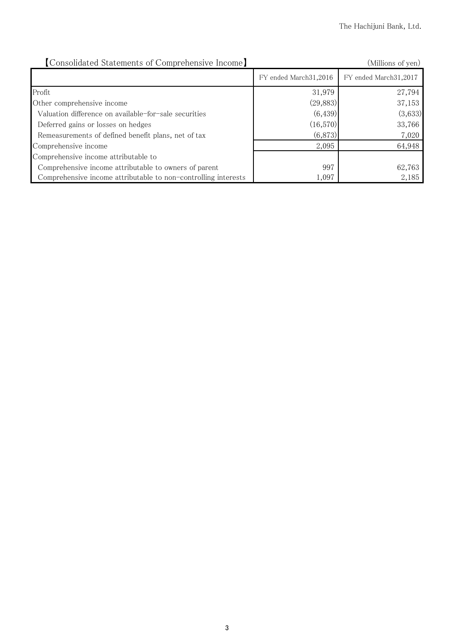| [Consolidated Statements of Comprehensive Income]              | (Millions of yen)     |                       |
|----------------------------------------------------------------|-----------------------|-----------------------|
|                                                                | FY ended March31,2016 | FY ended March31,2017 |
| Profit                                                         | 31,979                | 27,794                |
| Other comprehensive income                                     | (29, 883)             | 37,153                |
| Valuation difference on available-for-sale securities          | (6, 439)              | (3,633)               |
| Deferred gains or losses on hedges                             | (16,570)              | 33,766                |
| Remeasurements of defined benefit plans, net of tax            | (6,873)               | 7,020                 |
| Comprehensive income                                           | 2,095                 | 64,948                |
| Comprehensive income attributable to                           |                       |                       |
| Comprehensive income attributable to owners of parent          | 997                   | 62,763                |
| Comprehensive income attributable to non-controlling interests | 1,097                 | 2,185                 |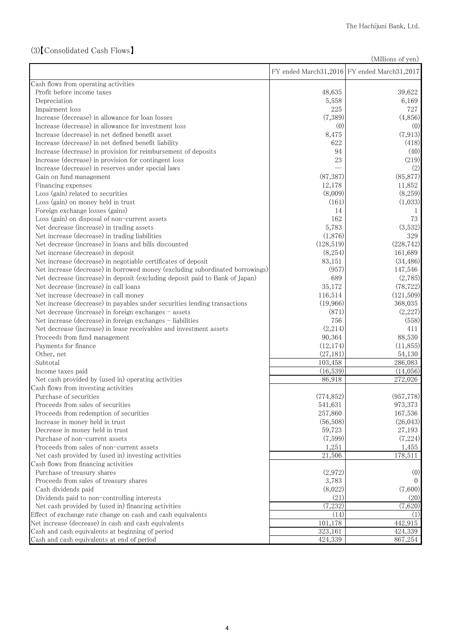## (3)【Consolidated Cash Flows】

(Millions of yen)

|                                                                               |            | FY ended March31,2016 FY ended March31,2017 |
|-------------------------------------------------------------------------------|------------|---------------------------------------------|
| Cash flows from operating activities                                          |            |                                             |
| Profit before income taxes                                                    | 48,635     | 39,622                                      |
| Depreciation                                                                  | 5,558      | 6,169                                       |
| Impairment loss                                                               | 225        | 727                                         |
| Increase (decrease) in allowance for loan losses                              | (7,389)    | (4,856)                                     |
| Increase (decrease) in allowance for investment loss                          | (0)        | (0)                                         |
| Increase (decrease) in net defined benefit asset                              | 8,475      | (7, 913)                                    |
| Increase (decrease) in net defined benefit liability                          | 622        | (418)                                       |
| Increase (decrease) in provision for reimbursement of deposits                | 94         | (40)                                        |
| Increase (decrease) in provision for contingent loss                          | 23         | (219)                                       |
| Increase (decrease) in reserves under special laws                            |            | (2)                                         |
| Gain on fund management                                                       | (87, 387)  | (85, 877)                                   |
| Financing expenses                                                            | 12,178     | 11,852                                      |
| Loss (gain) related to securities                                             | (8,009)    | (8,259)                                     |
| Loss (gain) on money held in trust                                            | (161)      | (1,033)                                     |
| Foreign exchange losses (gains)                                               | 14         |                                             |
| Loss (gain) on disposal of non-current assets                                 | 162        | 73                                          |
| Net decrease (increase) in trading assets                                     | 5,783      | (3,532)                                     |
| Net increase (decrease) in trading liabilities                                | (1,876)    | 329                                         |
| Net decrease (increase) in loans and bills discounted                         | (128, 519) | (228, 742)                                  |
| Net increase (decrease) in deposit                                            | (8,254)    | 161,689                                     |
| Net increase (decrease) in negotiable certificates of deposit                 | 83,151     | (34, 486)                                   |
| Net increase (decrease) in borrowed money (excluding subordinated borrowings) | (957)      | 147,546                                     |
| Net decrease (increase) in deposit (excluding deposit paid to Bank of Japan)  | 689        | (2,785)                                     |
| Net decrease (increase) in call loans                                         | 35,172     | (78, 722)                                   |
| Net increase (decrease) in call money                                         | 116,514    | (121, 509)                                  |
| Net increase (decrease) in payables under securities lending transactions     | (19,966)   | 368,035                                     |
| Net decrease (increase) in foreign exchanges - assets                         | (871)      | (2,227)                                     |
| Net increase (decrease) in foreign exchanges - liabilities                    | 756        | (558)                                       |
| Net decrease (increase) in lease receivables and investment assets            | (2,214)    | 411                                         |
| Proceeds from fund management                                                 | 90,364     | 88,530                                      |
| Payments for finance                                                          | (12, 174)  | (11,855)                                    |
| Other, net                                                                    | (27, 181)  | 54,130                                      |
| Subtotal                                                                      | 103,458    | 286,083                                     |
| Income taxes paid                                                             | (16, 539)  | (14,056)                                    |
| Net cash provided by (used in) operating activities                           | 86,918     | $\overline{272,026}$                        |
| Cash flows from investing activities                                          |            |                                             |
| Purchase of securities                                                        | (774, 852) | (957, 778)                                  |
| Proceeds from sales of securities                                             | 541,631    | 973,373                                     |
| Proceeds from redemption of securities                                        | 257,860    | 167,536                                     |
| Increase in money held in trust                                               | (56, 508)  | (26, 043)                                   |
| Decrease in money held in trust                                               | 59,723     | 27,193                                      |
| Purchase of non-current assets                                                | (7,599)    | (7,224)                                     |
| Proceeds from sales of non-current assets                                     | 1,251      | 1,455                                       |
| Net cash provided by (used in) investing activities                           | 21,506     | 178,511                                     |
| Cash flows from financing activities                                          |            |                                             |
| Purchase of treasury shares                                                   | (2,972)    | (0)                                         |
| Proceeds from sales of treasury shares                                        | 3,783      | $\Omega$                                    |
| Cash dividends paid                                                           | (8,022)    | (7,600)                                     |
| Dividends paid to non-controlling interests                                   | (21)       | (20)                                        |
| Net cash provided by (used in) financing activities                           | (7,232)    | (7,620)                                     |
| Effect of exchange rate change on cash and cash equivalents                   | (14)       | (1)                                         |
| Net increase (decrease) in cash and cash equivalents                          | 101,178    | 442,915                                     |
| Cash and cash equivalents at beginning of period                              | 323,161    | 424,339                                     |
| Cash and cash equivalents at end of period                                    | 424,339    | 867,254                                     |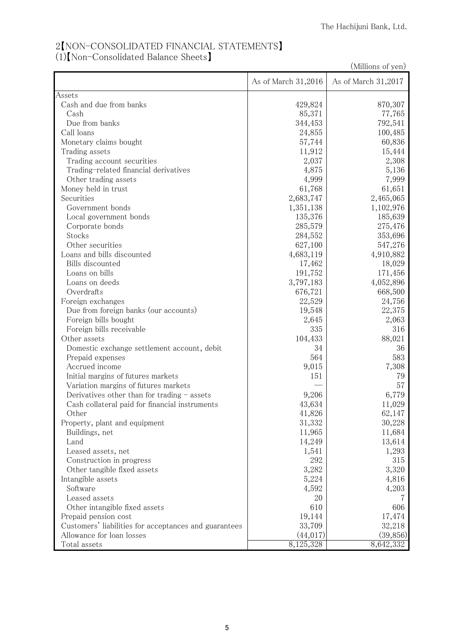## 2【NON-CONSOLIDATED FINANCIAL STATEMENTS】 (1)【Non-Consolidated Balance Sheets】

| (Millions of yen)                                     |                     |                     |
|-------------------------------------------------------|---------------------|---------------------|
|                                                       | As of March 31,2016 | As of March 31,2017 |
| Assets                                                |                     |                     |
| Cash and due from banks                               | 429,824             | 870,307             |
| Cash                                                  | 85,371              | 77,765              |
| Due from banks                                        | 344,453             | 792,541             |
| Call loans                                            | 24,855              | 100,485             |
| Monetary claims bought                                | 57,744              | 60,836              |
| Trading assets                                        | 11,912              | 15,444              |
| Trading account securities                            | 2,037               | 2,308               |
| Trading-related financial derivatives                 | 4,875               | 5,136               |
| Other trading assets                                  | 4,999               | 7,999               |
| Money held in trust                                   | 61,768              | 61,651              |
| Securities                                            | 2,683,747           | 2,465,065           |
| Government bonds                                      | 1,351,138           | 1,102,976           |
| Local government bonds                                | 135,376             | 185,639             |
| Corporate bonds                                       | 285,579             | 275,476             |
| Stocks                                                | 284,552             | 353,696             |
| Other securities                                      | 627,100             | 547,276             |
| Loans and bills discounted                            | 4,683,119           | 4,910,882           |
| Bills discounted                                      | 17,462              | 18,029              |
| Loans on bills                                        | 191,752             | 171,456             |
| Loans on deeds                                        | 3,797,183           | 4,052,896           |
| Overdrafts                                            | 676,721             | 668,500             |
| Foreign exchanges                                     | 22,529              | 24,756              |
| Due from foreign banks (our accounts)                 | 19,548              | 22,375              |
| Foreign bills bought                                  | 2,645               | 2,063               |
| Foreign bills receivable                              | 335                 | 316                 |
| Other assets                                          | 104,433             | 88,021              |
| Domestic exchange settlement account, debit           | 34                  | 36                  |
| Prepaid expenses                                      | 564                 | 583                 |
| Accrued income                                        | 9,015               | 7,308               |
| Initial margins of futures markets                    | 151                 | 79                  |
| Variation margins of futures markets                  |                     | 57                  |
| Derivatives other than for trading $-$ assets         | 9,206               | 6,779               |
| Cash collateral paid for financial instruments        | 43,634              | 11,029              |
|                                                       | 41,826              | 62,147              |
| Other<br>Property, plant and equipment                |                     | 30,228              |
| Buildings, net                                        | 31,332              |                     |
|                                                       | 11,965              | 11,684              |
| Land                                                  | 14,249              | 13,614              |
| Leased assets, net                                    | 1,541               | 1,293               |
| Construction in progress                              | 292                 | 315                 |
| Other tangible fixed assets                           | 3,282               | 3,320               |
| Intangible assets                                     | 5,224               | 4,816               |
| Software                                              | 4,592               | 4,203               |
| Leased assets                                         | 20                  |                     |
| Other intangible fixed assets                         | 610                 | 606                 |
| Prepaid pension cost                                  | 19,144              | 17,474              |
| Customers' liabilities for acceptances and guarantees | 33,709              | 32,218              |
| Allowance for loan losses                             | (44, 017)           | (39, 856)           |
| Total assets                                          | 8,125,328           | 8,642,332           |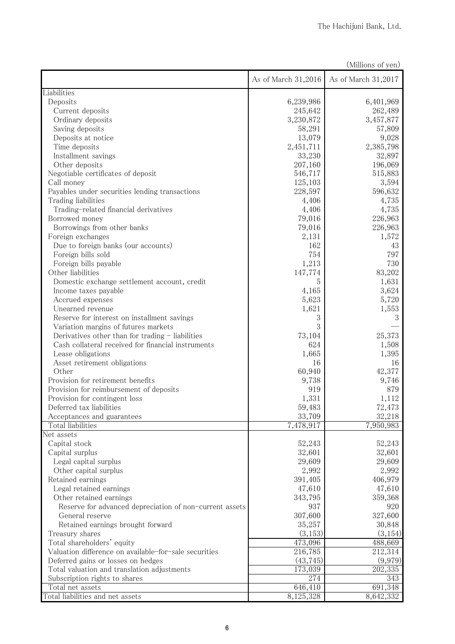| As of March 31,2016<br>As of March 31,2017<br>Liabilities<br>6,239,986<br>Deposits<br>6,401,969<br>262,489<br>Current deposits<br>245,642<br>3,230,872<br>3,457,877<br>Ordinary deposits<br>Saving deposits<br>58,291<br>57,809<br>9,028<br>13,079<br>Deposits at notice<br>2,385,798<br>Time deposits<br>2,451,711<br>32,897<br>Installment savings<br>33,230<br>196,069<br>Other deposits<br>207,160<br>Negotiable certificates of deposit<br>546,717<br>515,883<br>Call money<br>125,103<br>3,594<br>Payables under securities lending transactions<br>596,632<br>228,597<br>Trading liabilities<br>4,406<br>4,735<br>4,735<br>Trading-related financial derivatives<br>4,406<br>79,016<br>226,963<br>Borrowed money<br>226,963<br>Borrowings from other banks<br>79,016<br>Foreign exchanges<br>2,131<br>1,572<br>162<br>Due to foreign banks (our accounts)<br>43<br>754<br>797<br>Foreign bills sold<br>1,213<br>730<br>Foreign bills payable<br>83,202<br>Other liabilities<br>147,774<br>1,631<br>Domestic exchange settlement account, credit<br>5<br>3,624<br>4,165<br>Income taxes payable<br>5,720<br>5,623<br>Accrued expenses<br>Unearned revenue<br>1,621<br>1,553<br>3<br>Reserve for interest on installment savings<br>3<br>3<br>Variation margins of futures markets<br>Derivatives other than for trading $-$ liabilities<br>25,373<br>73,104<br>Cash collateral received for financial instruments<br>624<br>1,508<br>Lease obligations<br>1,395<br>1,665<br>Asset retirement obligations<br>16<br>16<br>Other<br>60,940<br>42,377<br>Provision for retirement benefits<br>9,746<br>9,738<br>Provision for reimbursement of deposits<br>879<br>919<br>1,331<br>Provision for contingent loss<br>1,112<br>59,483<br>72,473<br>Deferred tax liabilities<br>32,218<br>33,709<br>Acceptances and guarantees<br>7,478,917<br>7,950,983<br>Total liabilities<br>Net assets<br>52,243<br>Capital stock<br>52,243<br>32,601<br>32,601<br>Capital surplus<br>29,609<br>Legal capital surplus<br>29,609<br>Other capital surplus<br>2,992<br>2,992<br>Retained earnings<br>391,405<br>406,979<br>Legal retained earnings<br>47,610<br>47,610<br>359,368<br>Other retained earnings<br>343,795<br>937<br>920<br>Reserve for advanced depreciation of non-current assets<br>327,600<br>307,600<br>General reserve<br>35,257<br>30,848<br>Retained earnings brought forward<br>(3,153)<br>(3, 154)<br>Treasury shares<br>473,096<br>488,669<br>Total shareholders' equity<br>216,785<br>212,314<br>Valuation difference on available-for-sale securities<br>(43, 745)<br>(9,979)<br>Deferred gains or losses on hedges<br>202,335<br>173,039<br>Total valuation and translation adjustments<br>343<br>274<br>Subscription rights to shares<br>691,348<br>646,410<br>Total net assets<br>8,125,328<br>Total liabilities and net assets<br>8,642,332 | (Millions of yen) |  |  |
|------------------------------------------------------------------------------------------------------------------------------------------------------------------------------------------------------------------------------------------------------------------------------------------------------------------------------------------------------------------------------------------------------------------------------------------------------------------------------------------------------------------------------------------------------------------------------------------------------------------------------------------------------------------------------------------------------------------------------------------------------------------------------------------------------------------------------------------------------------------------------------------------------------------------------------------------------------------------------------------------------------------------------------------------------------------------------------------------------------------------------------------------------------------------------------------------------------------------------------------------------------------------------------------------------------------------------------------------------------------------------------------------------------------------------------------------------------------------------------------------------------------------------------------------------------------------------------------------------------------------------------------------------------------------------------------------------------------------------------------------------------------------------------------------------------------------------------------------------------------------------------------------------------------------------------------------------------------------------------------------------------------------------------------------------------------------------------------------------------------------------------------------------------------------------------------------------------------------------------------------------------------------------------------------------------------------------------------------------------------------------------------------------------------------------------------------------------------------------------------------------------------------------------------------------------------------------------------------------------------------------------------------------------------------------------------------------------------------------------------------------------------------------------------------------------------------------------------------------------|-------------------|--|--|
|                                                                                                                                                                                                                                                                                                                                                                                                                                                                                                                                                                                                                                                                                                                                                                                                                                                                                                                                                                                                                                                                                                                                                                                                                                                                                                                                                                                                                                                                                                                                                                                                                                                                                                                                                                                                                                                                                                                                                                                                                                                                                                                                                                                                                                                                                                                                                                                                                                                                                                                                                                                                                                                                                                                                                                                                                                                            |                   |  |  |
|                                                                                                                                                                                                                                                                                                                                                                                                                                                                                                                                                                                                                                                                                                                                                                                                                                                                                                                                                                                                                                                                                                                                                                                                                                                                                                                                                                                                                                                                                                                                                                                                                                                                                                                                                                                                                                                                                                                                                                                                                                                                                                                                                                                                                                                                                                                                                                                                                                                                                                                                                                                                                                                                                                                                                                                                                                                            |                   |  |  |
|                                                                                                                                                                                                                                                                                                                                                                                                                                                                                                                                                                                                                                                                                                                                                                                                                                                                                                                                                                                                                                                                                                                                                                                                                                                                                                                                                                                                                                                                                                                                                                                                                                                                                                                                                                                                                                                                                                                                                                                                                                                                                                                                                                                                                                                                                                                                                                                                                                                                                                                                                                                                                                                                                                                                                                                                                                                            |                   |  |  |
|                                                                                                                                                                                                                                                                                                                                                                                                                                                                                                                                                                                                                                                                                                                                                                                                                                                                                                                                                                                                                                                                                                                                                                                                                                                                                                                                                                                                                                                                                                                                                                                                                                                                                                                                                                                                                                                                                                                                                                                                                                                                                                                                                                                                                                                                                                                                                                                                                                                                                                                                                                                                                                                                                                                                                                                                                                                            |                   |  |  |
|                                                                                                                                                                                                                                                                                                                                                                                                                                                                                                                                                                                                                                                                                                                                                                                                                                                                                                                                                                                                                                                                                                                                                                                                                                                                                                                                                                                                                                                                                                                                                                                                                                                                                                                                                                                                                                                                                                                                                                                                                                                                                                                                                                                                                                                                                                                                                                                                                                                                                                                                                                                                                                                                                                                                                                                                                                                            |                   |  |  |
|                                                                                                                                                                                                                                                                                                                                                                                                                                                                                                                                                                                                                                                                                                                                                                                                                                                                                                                                                                                                                                                                                                                                                                                                                                                                                                                                                                                                                                                                                                                                                                                                                                                                                                                                                                                                                                                                                                                                                                                                                                                                                                                                                                                                                                                                                                                                                                                                                                                                                                                                                                                                                                                                                                                                                                                                                                                            |                   |  |  |
|                                                                                                                                                                                                                                                                                                                                                                                                                                                                                                                                                                                                                                                                                                                                                                                                                                                                                                                                                                                                                                                                                                                                                                                                                                                                                                                                                                                                                                                                                                                                                                                                                                                                                                                                                                                                                                                                                                                                                                                                                                                                                                                                                                                                                                                                                                                                                                                                                                                                                                                                                                                                                                                                                                                                                                                                                                                            |                   |  |  |
|                                                                                                                                                                                                                                                                                                                                                                                                                                                                                                                                                                                                                                                                                                                                                                                                                                                                                                                                                                                                                                                                                                                                                                                                                                                                                                                                                                                                                                                                                                                                                                                                                                                                                                                                                                                                                                                                                                                                                                                                                                                                                                                                                                                                                                                                                                                                                                                                                                                                                                                                                                                                                                                                                                                                                                                                                                                            |                   |  |  |
|                                                                                                                                                                                                                                                                                                                                                                                                                                                                                                                                                                                                                                                                                                                                                                                                                                                                                                                                                                                                                                                                                                                                                                                                                                                                                                                                                                                                                                                                                                                                                                                                                                                                                                                                                                                                                                                                                                                                                                                                                                                                                                                                                                                                                                                                                                                                                                                                                                                                                                                                                                                                                                                                                                                                                                                                                                                            |                   |  |  |
|                                                                                                                                                                                                                                                                                                                                                                                                                                                                                                                                                                                                                                                                                                                                                                                                                                                                                                                                                                                                                                                                                                                                                                                                                                                                                                                                                                                                                                                                                                                                                                                                                                                                                                                                                                                                                                                                                                                                                                                                                                                                                                                                                                                                                                                                                                                                                                                                                                                                                                                                                                                                                                                                                                                                                                                                                                                            |                   |  |  |
|                                                                                                                                                                                                                                                                                                                                                                                                                                                                                                                                                                                                                                                                                                                                                                                                                                                                                                                                                                                                                                                                                                                                                                                                                                                                                                                                                                                                                                                                                                                                                                                                                                                                                                                                                                                                                                                                                                                                                                                                                                                                                                                                                                                                                                                                                                                                                                                                                                                                                                                                                                                                                                                                                                                                                                                                                                                            |                   |  |  |
|                                                                                                                                                                                                                                                                                                                                                                                                                                                                                                                                                                                                                                                                                                                                                                                                                                                                                                                                                                                                                                                                                                                                                                                                                                                                                                                                                                                                                                                                                                                                                                                                                                                                                                                                                                                                                                                                                                                                                                                                                                                                                                                                                                                                                                                                                                                                                                                                                                                                                                                                                                                                                                                                                                                                                                                                                                                            |                   |  |  |
|                                                                                                                                                                                                                                                                                                                                                                                                                                                                                                                                                                                                                                                                                                                                                                                                                                                                                                                                                                                                                                                                                                                                                                                                                                                                                                                                                                                                                                                                                                                                                                                                                                                                                                                                                                                                                                                                                                                                                                                                                                                                                                                                                                                                                                                                                                                                                                                                                                                                                                                                                                                                                                                                                                                                                                                                                                                            |                   |  |  |
|                                                                                                                                                                                                                                                                                                                                                                                                                                                                                                                                                                                                                                                                                                                                                                                                                                                                                                                                                                                                                                                                                                                                                                                                                                                                                                                                                                                                                                                                                                                                                                                                                                                                                                                                                                                                                                                                                                                                                                                                                                                                                                                                                                                                                                                                                                                                                                                                                                                                                                                                                                                                                                                                                                                                                                                                                                                            |                   |  |  |
|                                                                                                                                                                                                                                                                                                                                                                                                                                                                                                                                                                                                                                                                                                                                                                                                                                                                                                                                                                                                                                                                                                                                                                                                                                                                                                                                                                                                                                                                                                                                                                                                                                                                                                                                                                                                                                                                                                                                                                                                                                                                                                                                                                                                                                                                                                                                                                                                                                                                                                                                                                                                                                                                                                                                                                                                                                                            |                   |  |  |
|                                                                                                                                                                                                                                                                                                                                                                                                                                                                                                                                                                                                                                                                                                                                                                                                                                                                                                                                                                                                                                                                                                                                                                                                                                                                                                                                                                                                                                                                                                                                                                                                                                                                                                                                                                                                                                                                                                                                                                                                                                                                                                                                                                                                                                                                                                                                                                                                                                                                                                                                                                                                                                                                                                                                                                                                                                                            |                   |  |  |
|                                                                                                                                                                                                                                                                                                                                                                                                                                                                                                                                                                                                                                                                                                                                                                                                                                                                                                                                                                                                                                                                                                                                                                                                                                                                                                                                                                                                                                                                                                                                                                                                                                                                                                                                                                                                                                                                                                                                                                                                                                                                                                                                                                                                                                                                                                                                                                                                                                                                                                                                                                                                                                                                                                                                                                                                                                                            |                   |  |  |
|                                                                                                                                                                                                                                                                                                                                                                                                                                                                                                                                                                                                                                                                                                                                                                                                                                                                                                                                                                                                                                                                                                                                                                                                                                                                                                                                                                                                                                                                                                                                                                                                                                                                                                                                                                                                                                                                                                                                                                                                                                                                                                                                                                                                                                                                                                                                                                                                                                                                                                                                                                                                                                                                                                                                                                                                                                                            |                   |  |  |
|                                                                                                                                                                                                                                                                                                                                                                                                                                                                                                                                                                                                                                                                                                                                                                                                                                                                                                                                                                                                                                                                                                                                                                                                                                                                                                                                                                                                                                                                                                                                                                                                                                                                                                                                                                                                                                                                                                                                                                                                                                                                                                                                                                                                                                                                                                                                                                                                                                                                                                                                                                                                                                                                                                                                                                                                                                                            |                   |  |  |
|                                                                                                                                                                                                                                                                                                                                                                                                                                                                                                                                                                                                                                                                                                                                                                                                                                                                                                                                                                                                                                                                                                                                                                                                                                                                                                                                                                                                                                                                                                                                                                                                                                                                                                                                                                                                                                                                                                                                                                                                                                                                                                                                                                                                                                                                                                                                                                                                                                                                                                                                                                                                                                                                                                                                                                                                                                                            |                   |  |  |
|                                                                                                                                                                                                                                                                                                                                                                                                                                                                                                                                                                                                                                                                                                                                                                                                                                                                                                                                                                                                                                                                                                                                                                                                                                                                                                                                                                                                                                                                                                                                                                                                                                                                                                                                                                                                                                                                                                                                                                                                                                                                                                                                                                                                                                                                                                                                                                                                                                                                                                                                                                                                                                                                                                                                                                                                                                                            |                   |  |  |
|                                                                                                                                                                                                                                                                                                                                                                                                                                                                                                                                                                                                                                                                                                                                                                                                                                                                                                                                                                                                                                                                                                                                                                                                                                                                                                                                                                                                                                                                                                                                                                                                                                                                                                                                                                                                                                                                                                                                                                                                                                                                                                                                                                                                                                                                                                                                                                                                                                                                                                                                                                                                                                                                                                                                                                                                                                                            |                   |  |  |
|                                                                                                                                                                                                                                                                                                                                                                                                                                                                                                                                                                                                                                                                                                                                                                                                                                                                                                                                                                                                                                                                                                                                                                                                                                                                                                                                                                                                                                                                                                                                                                                                                                                                                                                                                                                                                                                                                                                                                                                                                                                                                                                                                                                                                                                                                                                                                                                                                                                                                                                                                                                                                                                                                                                                                                                                                                                            |                   |  |  |
|                                                                                                                                                                                                                                                                                                                                                                                                                                                                                                                                                                                                                                                                                                                                                                                                                                                                                                                                                                                                                                                                                                                                                                                                                                                                                                                                                                                                                                                                                                                                                                                                                                                                                                                                                                                                                                                                                                                                                                                                                                                                                                                                                                                                                                                                                                                                                                                                                                                                                                                                                                                                                                                                                                                                                                                                                                                            |                   |  |  |
|                                                                                                                                                                                                                                                                                                                                                                                                                                                                                                                                                                                                                                                                                                                                                                                                                                                                                                                                                                                                                                                                                                                                                                                                                                                                                                                                                                                                                                                                                                                                                                                                                                                                                                                                                                                                                                                                                                                                                                                                                                                                                                                                                                                                                                                                                                                                                                                                                                                                                                                                                                                                                                                                                                                                                                                                                                                            |                   |  |  |
|                                                                                                                                                                                                                                                                                                                                                                                                                                                                                                                                                                                                                                                                                                                                                                                                                                                                                                                                                                                                                                                                                                                                                                                                                                                                                                                                                                                                                                                                                                                                                                                                                                                                                                                                                                                                                                                                                                                                                                                                                                                                                                                                                                                                                                                                                                                                                                                                                                                                                                                                                                                                                                                                                                                                                                                                                                                            |                   |  |  |
|                                                                                                                                                                                                                                                                                                                                                                                                                                                                                                                                                                                                                                                                                                                                                                                                                                                                                                                                                                                                                                                                                                                                                                                                                                                                                                                                                                                                                                                                                                                                                                                                                                                                                                                                                                                                                                                                                                                                                                                                                                                                                                                                                                                                                                                                                                                                                                                                                                                                                                                                                                                                                                                                                                                                                                                                                                                            |                   |  |  |
|                                                                                                                                                                                                                                                                                                                                                                                                                                                                                                                                                                                                                                                                                                                                                                                                                                                                                                                                                                                                                                                                                                                                                                                                                                                                                                                                                                                                                                                                                                                                                                                                                                                                                                                                                                                                                                                                                                                                                                                                                                                                                                                                                                                                                                                                                                                                                                                                                                                                                                                                                                                                                                                                                                                                                                                                                                                            |                   |  |  |
|                                                                                                                                                                                                                                                                                                                                                                                                                                                                                                                                                                                                                                                                                                                                                                                                                                                                                                                                                                                                                                                                                                                                                                                                                                                                                                                                                                                                                                                                                                                                                                                                                                                                                                                                                                                                                                                                                                                                                                                                                                                                                                                                                                                                                                                                                                                                                                                                                                                                                                                                                                                                                                                                                                                                                                                                                                                            |                   |  |  |
|                                                                                                                                                                                                                                                                                                                                                                                                                                                                                                                                                                                                                                                                                                                                                                                                                                                                                                                                                                                                                                                                                                                                                                                                                                                                                                                                                                                                                                                                                                                                                                                                                                                                                                                                                                                                                                                                                                                                                                                                                                                                                                                                                                                                                                                                                                                                                                                                                                                                                                                                                                                                                                                                                                                                                                                                                                                            |                   |  |  |
|                                                                                                                                                                                                                                                                                                                                                                                                                                                                                                                                                                                                                                                                                                                                                                                                                                                                                                                                                                                                                                                                                                                                                                                                                                                                                                                                                                                                                                                                                                                                                                                                                                                                                                                                                                                                                                                                                                                                                                                                                                                                                                                                                                                                                                                                                                                                                                                                                                                                                                                                                                                                                                                                                                                                                                                                                                                            |                   |  |  |
|                                                                                                                                                                                                                                                                                                                                                                                                                                                                                                                                                                                                                                                                                                                                                                                                                                                                                                                                                                                                                                                                                                                                                                                                                                                                                                                                                                                                                                                                                                                                                                                                                                                                                                                                                                                                                                                                                                                                                                                                                                                                                                                                                                                                                                                                                                                                                                                                                                                                                                                                                                                                                                                                                                                                                                                                                                                            |                   |  |  |
|                                                                                                                                                                                                                                                                                                                                                                                                                                                                                                                                                                                                                                                                                                                                                                                                                                                                                                                                                                                                                                                                                                                                                                                                                                                                                                                                                                                                                                                                                                                                                                                                                                                                                                                                                                                                                                                                                                                                                                                                                                                                                                                                                                                                                                                                                                                                                                                                                                                                                                                                                                                                                                                                                                                                                                                                                                                            |                   |  |  |
|                                                                                                                                                                                                                                                                                                                                                                                                                                                                                                                                                                                                                                                                                                                                                                                                                                                                                                                                                                                                                                                                                                                                                                                                                                                                                                                                                                                                                                                                                                                                                                                                                                                                                                                                                                                                                                                                                                                                                                                                                                                                                                                                                                                                                                                                                                                                                                                                                                                                                                                                                                                                                                                                                                                                                                                                                                                            |                   |  |  |
|                                                                                                                                                                                                                                                                                                                                                                                                                                                                                                                                                                                                                                                                                                                                                                                                                                                                                                                                                                                                                                                                                                                                                                                                                                                                                                                                                                                                                                                                                                                                                                                                                                                                                                                                                                                                                                                                                                                                                                                                                                                                                                                                                                                                                                                                                                                                                                                                                                                                                                                                                                                                                                                                                                                                                                                                                                                            |                   |  |  |
|                                                                                                                                                                                                                                                                                                                                                                                                                                                                                                                                                                                                                                                                                                                                                                                                                                                                                                                                                                                                                                                                                                                                                                                                                                                                                                                                                                                                                                                                                                                                                                                                                                                                                                                                                                                                                                                                                                                                                                                                                                                                                                                                                                                                                                                                                                                                                                                                                                                                                                                                                                                                                                                                                                                                                                                                                                                            |                   |  |  |
|                                                                                                                                                                                                                                                                                                                                                                                                                                                                                                                                                                                                                                                                                                                                                                                                                                                                                                                                                                                                                                                                                                                                                                                                                                                                                                                                                                                                                                                                                                                                                                                                                                                                                                                                                                                                                                                                                                                                                                                                                                                                                                                                                                                                                                                                                                                                                                                                                                                                                                                                                                                                                                                                                                                                                                                                                                                            |                   |  |  |
|                                                                                                                                                                                                                                                                                                                                                                                                                                                                                                                                                                                                                                                                                                                                                                                                                                                                                                                                                                                                                                                                                                                                                                                                                                                                                                                                                                                                                                                                                                                                                                                                                                                                                                                                                                                                                                                                                                                                                                                                                                                                                                                                                                                                                                                                                                                                                                                                                                                                                                                                                                                                                                                                                                                                                                                                                                                            |                   |  |  |
|                                                                                                                                                                                                                                                                                                                                                                                                                                                                                                                                                                                                                                                                                                                                                                                                                                                                                                                                                                                                                                                                                                                                                                                                                                                                                                                                                                                                                                                                                                                                                                                                                                                                                                                                                                                                                                                                                                                                                                                                                                                                                                                                                                                                                                                                                                                                                                                                                                                                                                                                                                                                                                                                                                                                                                                                                                                            |                   |  |  |
|                                                                                                                                                                                                                                                                                                                                                                                                                                                                                                                                                                                                                                                                                                                                                                                                                                                                                                                                                                                                                                                                                                                                                                                                                                                                                                                                                                                                                                                                                                                                                                                                                                                                                                                                                                                                                                                                                                                                                                                                                                                                                                                                                                                                                                                                                                                                                                                                                                                                                                                                                                                                                                                                                                                                                                                                                                                            |                   |  |  |
|                                                                                                                                                                                                                                                                                                                                                                                                                                                                                                                                                                                                                                                                                                                                                                                                                                                                                                                                                                                                                                                                                                                                                                                                                                                                                                                                                                                                                                                                                                                                                                                                                                                                                                                                                                                                                                                                                                                                                                                                                                                                                                                                                                                                                                                                                                                                                                                                                                                                                                                                                                                                                                                                                                                                                                                                                                                            |                   |  |  |
|                                                                                                                                                                                                                                                                                                                                                                                                                                                                                                                                                                                                                                                                                                                                                                                                                                                                                                                                                                                                                                                                                                                                                                                                                                                                                                                                                                                                                                                                                                                                                                                                                                                                                                                                                                                                                                                                                                                                                                                                                                                                                                                                                                                                                                                                                                                                                                                                                                                                                                                                                                                                                                                                                                                                                                                                                                                            |                   |  |  |
|                                                                                                                                                                                                                                                                                                                                                                                                                                                                                                                                                                                                                                                                                                                                                                                                                                                                                                                                                                                                                                                                                                                                                                                                                                                                                                                                                                                                                                                                                                                                                                                                                                                                                                                                                                                                                                                                                                                                                                                                                                                                                                                                                                                                                                                                                                                                                                                                                                                                                                                                                                                                                                                                                                                                                                                                                                                            |                   |  |  |
|                                                                                                                                                                                                                                                                                                                                                                                                                                                                                                                                                                                                                                                                                                                                                                                                                                                                                                                                                                                                                                                                                                                                                                                                                                                                                                                                                                                                                                                                                                                                                                                                                                                                                                                                                                                                                                                                                                                                                                                                                                                                                                                                                                                                                                                                                                                                                                                                                                                                                                                                                                                                                                                                                                                                                                                                                                                            |                   |  |  |
|                                                                                                                                                                                                                                                                                                                                                                                                                                                                                                                                                                                                                                                                                                                                                                                                                                                                                                                                                                                                                                                                                                                                                                                                                                                                                                                                                                                                                                                                                                                                                                                                                                                                                                                                                                                                                                                                                                                                                                                                                                                                                                                                                                                                                                                                                                                                                                                                                                                                                                                                                                                                                                                                                                                                                                                                                                                            |                   |  |  |
|                                                                                                                                                                                                                                                                                                                                                                                                                                                                                                                                                                                                                                                                                                                                                                                                                                                                                                                                                                                                                                                                                                                                                                                                                                                                                                                                                                                                                                                                                                                                                                                                                                                                                                                                                                                                                                                                                                                                                                                                                                                                                                                                                                                                                                                                                                                                                                                                                                                                                                                                                                                                                                                                                                                                                                                                                                                            |                   |  |  |
|                                                                                                                                                                                                                                                                                                                                                                                                                                                                                                                                                                                                                                                                                                                                                                                                                                                                                                                                                                                                                                                                                                                                                                                                                                                                                                                                                                                                                                                                                                                                                                                                                                                                                                                                                                                                                                                                                                                                                                                                                                                                                                                                                                                                                                                                                                                                                                                                                                                                                                                                                                                                                                                                                                                                                                                                                                                            |                   |  |  |
|                                                                                                                                                                                                                                                                                                                                                                                                                                                                                                                                                                                                                                                                                                                                                                                                                                                                                                                                                                                                                                                                                                                                                                                                                                                                                                                                                                                                                                                                                                                                                                                                                                                                                                                                                                                                                                                                                                                                                                                                                                                                                                                                                                                                                                                                                                                                                                                                                                                                                                                                                                                                                                                                                                                                                                                                                                                            |                   |  |  |
|                                                                                                                                                                                                                                                                                                                                                                                                                                                                                                                                                                                                                                                                                                                                                                                                                                                                                                                                                                                                                                                                                                                                                                                                                                                                                                                                                                                                                                                                                                                                                                                                                                                                                                                                                                                                                                                                                                                                                                                                                                                                                                                                                                                                                                                                                                                                                                                                                                                                                                                                                                                                                                                                                                                                                                                                                                                            |                   |  |  |
|                                                                                                                                                                                                                                                                                                                                                                                                                                                                                                                                                                                                                                                                                                                                                                                                                                                                                                                                                                                                                                                                                                                                                                                                                                                                                                                                                                                                                                                                                                                                                                                                                                                                                                                                                                                                                                                                                                                                                                                                                                                                                                                                                                                                                                                                                                                                                                                                                                                                                                                                                                                                                                                                                                                                                                                                                                                            |                   |  |  |
|                                                                                                                                                                                                                                                                                                                                                                                                                                                                                                                                                                                                                                                                                                                                                                                                                                                                                                                                                                                                                                                                                                                                                                                                                                                                                                                                                                                                                                                                                                                                                                                                                                                                                                                                                                                                                                                                                                                                                                                                                                                                                                                                                                                                                                                                                                                                                                                                                                                                                                                                                                                                                                                                                                                                                                                                                                                            |                   |  |  |
|                                                                                                                                                                                                                                                                                                                                                                                                                                                                                                                                                                                                                                                                                                                                                                                                                                                                                                                                                                                                                                                                                                                                                                                                                                                                                                                                                                                                                                                                                                                                                                                                                                                                                                                                                                                                                                                                                                                                                                                                                                                                                                                                                                                                                                                                                                                                                                                                                                                                                                                                                                                                                                                                                                                                                                                                                                                            |                   |  |  |
|                                                                                                                                                                                                                                                                                                                                                                                                                                                                                                                                                                                                                                                                                                                                                                                                                                                                                                                                                                                                                                                                                                                                                                                                                                                                                                                                                                                                                                                                                                                                                                                                                                                                                                                                                                                                                                                                                                                                                                                                                                                                                                                                                                                                                                                                                                                                                                                                                                                                                                                                                                                                                                                                                                                                                                                                                                                            |                   |  |  |
|                                                                                                                                                                                                                                                                                                                                                                                                                                                                                                                                                                                                                                                                                                                                                                                                                                                                                                                                                                                                                                                                                                                                                                                                                                                                                                                                                                                                                                                                                                                                                                                                                                                                                                                                                                                                                                                                                                                                                                                                                                                                                                                                                                                                                                                                                                                                                                                                                                                                                                                                                                                                                                                                                                                                                                                                                                                            |                   |  |  |
|                                                                                                                                                                                                                                                                                                                                                                                                                                                                                                                                                                                                                                                                                                                                                                                                                                                                                                                                                                                                                                                                                                                                                                                                                                                                                                                                                                                                                                                                                                                                                                                                                                                                                                                                                                                                                                                                                                                                                                                                                                                                                                                                                                                                                                                                                                                                                                                                                                                                                                                                                                                                                                                                                                                                                                                                                                                            |                   |  |  |
|                                                                                                                                                                                                                                                                                                                                                                                                                                                                                                                                                                                                                                                                                                                                                                                                                                                                                                                                                                                                                                                                                                                                                                                                                                                                                                                                                                                                                                                                                                                                                                                                                                                                                                                                                                                                                                                                                                                                                                                                                                                                                                                                                                                                                                                                                                                                                                                                                                                                                                                                                                                                                                                                                                                                                                                                                                                            |                   |  |  |
|                                                                                                                                                                                                                                                                                                                                                                                                                                                                                                                                                                                                                                                                                                                                                                                                                                                                                                                                                                                                                                                                                                                                                                                                                                                                                                                                                                                                                                                                                                                                                                                                                                                                                                                                                                                                                                                                                                                                                                                                                                                                                                                                                                                                                                                                                                                                                                                                                                                                                                                                                                                                                                                                                                                                                                                                                                                            |                   |  |  |